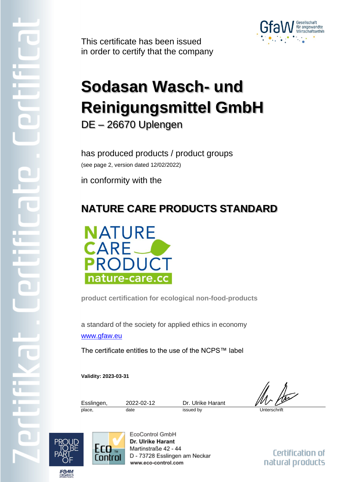

This certificate has been issued in order to certify that the company

## **Sodasan Wasch- und Reinigungsmittel GmbH** DE – 26670 Uplengen

has produced products / product groups (see page 2, version dated 12/02/2022)

in conformity with the

## **NATURE CARE PRODUCTS STANDARD**



**product certification for ecological non-food-products**

a standard of the society for applied ethics in economy [www.gfaw.eu](http://www.gfaw.eu/)

The certificate entitles to the use of the NCPS™ label

**Validity: 2023-03-31**

Esslingen, 2022-02-12 Dr. Ulrike Harant place, date issued by Unterschrift

 $E_0$ Control EcoControl GmbH Dr. Ulrike Harant Martinstraße 42 - 44 D - 73728 Esslingen am Neckar www.eco-control.com

Certification of natural products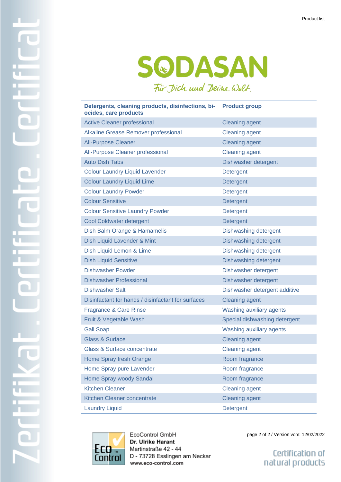## SODASAN Für Dich und Deine Welt.

| Detergents, cleaning products, disinfections, bi-<br>ocides, care products | <b>Product group</b>          |
|----------------------------------------------------------------------------|-------------------------------|
| <b>Active Cleaner professional</b>                                         | <b>Cleaning agent</b>         |
| Alkaline Grease Remover professional                                       | <b>Cleaning agent</b>         |
| <b>All-Purpose Cleaner</b>                                                 | <b>Cleaning agent</b>         |
| All-Purpose Cleaner professional                                           | <b>Cleaning agent</b>         |
| <b>Auto Dish Tabs</b>                                                      | Dishwasher detergent          |
| <b>Colour Laundry Liquid Lavender</b>                                      | Detergent                     |
| <b>Colour Laundry Liquid Lime</b>                                          | Detergent                     |
| <b>Colour Laundry Powder</b>                                               | Detergent                     |
| <b>Colour Sensitive</b>                                                    | Detergent                     |
| <b>Colour Sensitive Laundry Powder</b>                                     | Detergent                     |
| <b>Cool Coldwater detergent</b>                                            | Detergent                     |
| Dish Balm Orange & Hamamelis                                               | Dishwashing detergent         |
| Dish Liquid Lavender & Mint                                                | Dishwashing detergent         |
| Dish Liquid Lemon & Lime                                                   | Dishwashing detergent         |
| <b>Dish Liquid Sensitive</b>                                               | Dishwashing detergent         |
| <b>Dishwasher Powder</b>                                                   | Dishwasher detergent          |
| <b>Dishwasher Professional</b>                                             | Dishwasher detergent          |
| <b>Dishwasher Salt</b>                                                     | Dishwasher detergent additive |
| Disinfactant for hands / disinfactant for surfaces                         | <b>Cleaning agent</b>         |
| Fragrance & Care Rinse                                                     | Washing auxiliary agents      |
| Fruit & Vegetable Wash                                                     | Special dishwashing detergent |
| <b>Gall Soap</b>                                                           | Washing auxiliary agents      |
| <b>Glass &amp; Surface</b>                                                 | <b>Cleaning agent</b>         |
| <b>Glass &amp; Surface concentrate</b>                                     | <b>Cleaning agent</b>         |
| Home Spray fresh Orange                                                    | Room fragrance                |
| Home Spray pure Lavender                                                   | Room fragrance                |
| Home Spray woody Sandal                                                    | Room fragrance                |
| <b>Kitchen Cleaner</b>                                                     | <b>Cleaning agent</b>         |
| Kitchen Cleaner concentrate                                                | <b>Cleaning agent</b>         |
| <b>Laundry Liquid</b>                                                      | Detergent                     |



EcoControl GmbH Dr. Ulrike Harant Martinstraße 42 - 44 D - 73728 Esslingen am Neckar www.eco-control.com

page 2 of 2 / Version vom: 12/02/2022

Certification of natural products